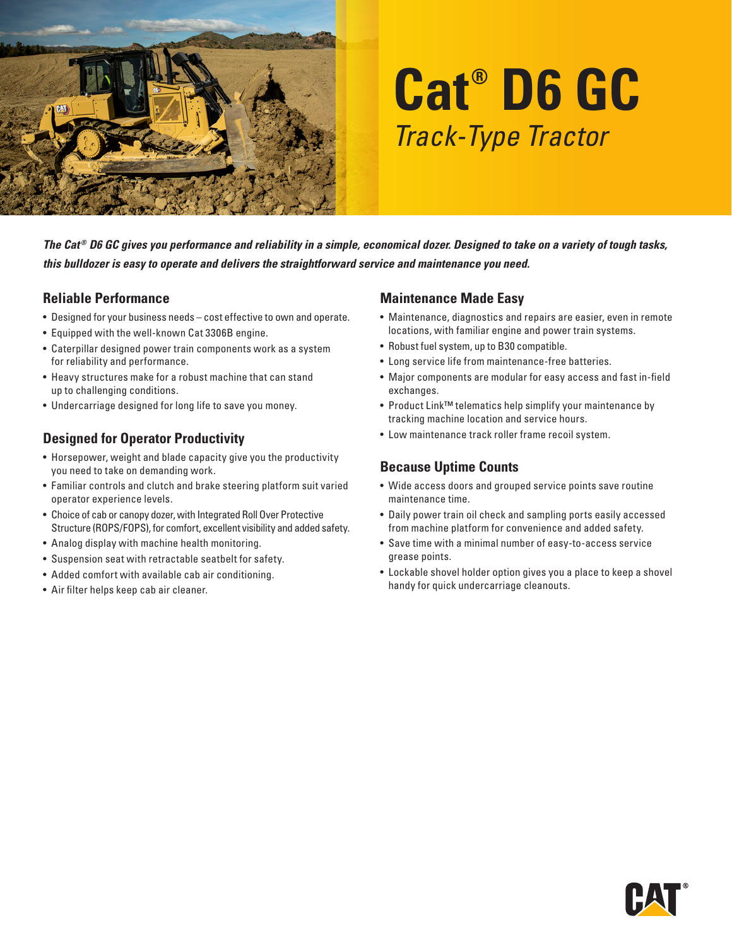

# **Cat® D6 GC** *Track-Type Tractor*

*The Cat ® D6 GC gives you performance and reliability in a simple, economical dozer. Designed to take on a variety of tough tasks, this bulldozer is easy to operate and delivers the straightforward service and maintenance you need.*

#### **Reliable Performance**

- Designed for your business needs cost effective to own and operate.
- Equipped with the well-known Cat 3306B engine.
- Caterpillar designed power train components work as a system for reliability and performance.
- Heavy structures make for a robust machine that can stand up to challenging conditions.
- Undercarriage designed for long life to save you money.

## **Designed for Operator Productivity**

- Horsepower, weight and blade capacity give you the productivity you need to take on demanding work.
- Familiar controls and clutch and brake steering platform suit varied operator experience levels.
- Choice of cab or canopy dozer, with Integrated Roll Over Protective Structure (ROPS/FOPS), for comfort, excellent visibility and added safety.
- Analog display with machine health monitoring.
- Suspension seat with retractable seatbelt for safety.
- Added comfort with available cab air conditioning.
- Air filter helps keep cab air cleaner.

#### **Maintenance Made Easy**

- Maintenance, diagnostics and repairs are easier, even in remote locations, with familiar engine and power train systems.
- Robust fuel system, up to B30 compatible.
- Long service life from maintenance-free batteries.
- Major components are modular for easy access and fast in-field exchanges.
- Product Link™ telematics help simplify your maintenance by tracking machine location and service hours.
- Low maintenance track roller frame recoil system.

## **Because Uptime Counts**

- Wide access doors and grouped service points save routine maintenance time.
- Daily power train oil check and sampling ports easily accessed from machine platform for convenience and added safety.
- Save time with a minimal number of easy-to-access service grease points.
- Lockable shovel holder option gives you a place to keep a shovel handy for quick undercarriage cleanouts.

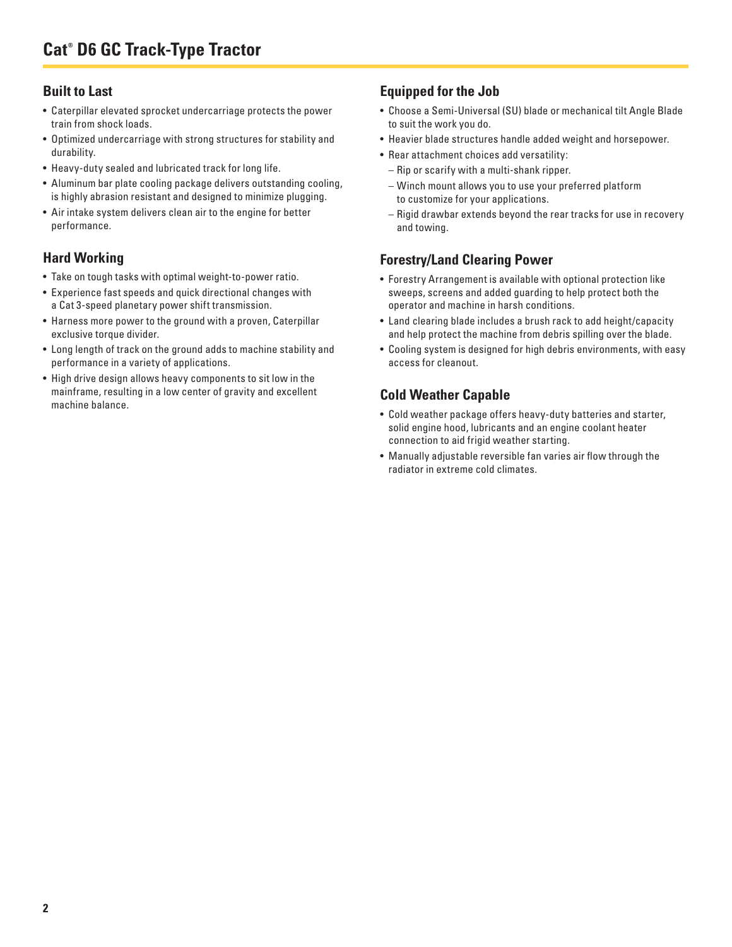## **Built to Last**

- Caterpillar elevated sprocket undercarriage protects the power train from shock loads.
- Optimized undercarriage with strong structures for stability and durability.
- Heavy-duty sealed and lubricated track for long life.
- Aluminum bar plate cooling package delivers outstanding cooling, is highly abrasion resistant and designed to minimize plugging.
- Air intake system delivers clean air to the engine for better performance.

## **Hard Working**

- Take on tough tasks with optimal weight-to-power ratio.
- Experience fast speeds and quick directional changes with a Cat 3-speed planetary power shift transmission.
- Harness more power to the ground with a proven, Caterpillar exclusive torque divider.
- Long length of track on the ground adds to machine stability and performance in a variety of applications.
- High drive design allows heavy components to sit low in the mainframe, resulting in a low center of gravity and excellent machine balance.

### **Equipped for the Job**

- Choose a Semi-Universal (SU) blade or mechanical tilt Angle Blade to suit the work you do.
- Heavier blade structures handle added weight and horsepower.
- Rear attachment choices add versatility:
	- Rip or scarify with a multi-shank ripper.
	- Winch mount allows you to use your preferred platform to customize for your applications.
	- Rigid drawbar extends beyond the rear tracks for use in recovery and towing.

## **Forestry/Land Clearing Power**

- Forestry Arrangement is available with optional protection like sweeps, screens and added guarding to help protect both the operator and machine in harsh conditions.
- Land clearing blade includes a brush rack to add height/capacity and help protect the machine from debris spilling over the blade.
- Cooling system is designed for high debris environments, with easy access for cleanout.

## **Cold Weather Capable**

- Cold weather package offers heavy-duty batteries and starter, solid engine hood, lubricants and an engine coolant heater connection to aid frigid weather starting.
- Manually adjustable reversible fan varies air flow through the radiator in extreme cold climates.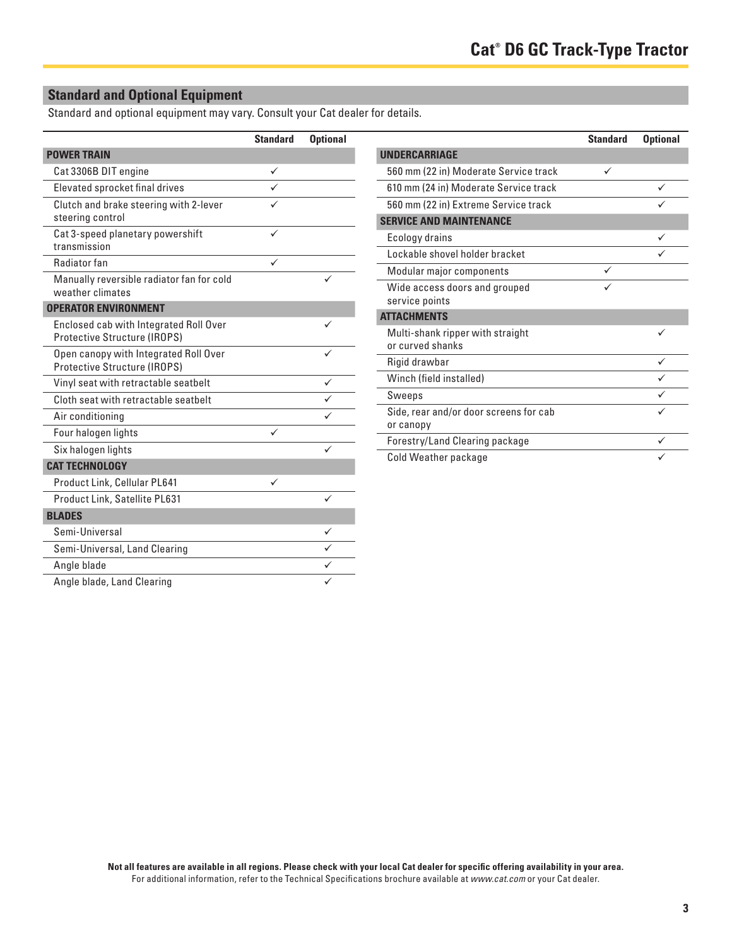# **Standard and Optional Equipment**

Standard and optional equipment may vary. Consult your Cat dealer for details.

|                                                                               | <b>Standard</b> | <b>Optional</b> |
|-------------------------------------------------------------------------------|-----------------|-----------------|
| <b>POWER TRAIN</b>                                                            |                 |                 |
| Cat 3306B DIT engine                                                          | ✓               |                 |
| Elevated sprocket final drives                                                |                 |                 |
| Clutch and brake steering with 2-lever<br>steering control                    |                 |                 |
| Cat 3-speed planetary powershift<br>transmission                              |                 |                 |
| Radiator fan                                                                  |                 |                 |
| Manually reversible radiator fan for cold<br>weather climates                 |                 |                 |
| <b>OPERATOR ENVIRONMENT</b>                                                   |                 |                 |
| Enclosed cab with Integrated Roll Over<br><b>Protective Structure (IROPS)</b> |                 |                 |
| Open canopy with Integrated Roll Over<br><b>Protective Structure (IROPS)</b>  |                 |                 |
| Vinyl seat with retractable seatbelt                                          |                 | ✓               |
| Cloth seat with retractable seathelt                                          |                 |                 |
| Air conditioning                                                              |                 |                 |
| Four halogen lights                                                           |                 |                 |
| Six halogen lights                                                            |                 | ✓               |
| <b>CAT TECHNOLOGY</b>                                                         |                 |                 |
| Product Link, Cellular PL641                                                  |                 |                 |
| Product Link, Satellite PL631                                                 |                 |                 |
| <b>BLADES</b>                                                                 |                 |                 |
| Semi-Universal                                                                |                 | ✓               |
| Semi-Universal, Land Clearing                                                 |                 |                 |
| Angle blade                                                                   |                 |                 |
| Angle blade, Land Clearing                                                    |                 |                 |

|                                        | <b>Standard</b> | <b>Optional</b> |
|----------------------------------------|-----------------|-----------------|
| <b>UNDERCARRIAGE</b>                   |                 |                 |
| 560 mm (22 in) Moderate Service track  | ✓               |                 |
| 610 mm (24 in) Moderate Service track  |                 |                 |
| 560 mm (22 in) Extreme Service track   |                 |                 |
| <b>SERVICE AND MAINTENANCE</b>         |                 |                 |
| Ecology drains                         |                 | ✓               |
| Lockable shovel holder bracket         |                 |                 |
| Modular major components               |                 |                 |
| Wide access doors and grouped          |                 |                 |
| service points                         |                 |                 |
| <b>ATTACHMENTS</b>                     |                 |                 |
| Multi-shank ripper with straight       |                 |                 |
| or curved shanks                       |                 |                 |
| Rigid drawbar                          |                 | ✓               |
| Winch (field installed)                |                 |                 |
| Sweeps                                 |                 |                 |
| Side, rear and/or door screens for cab |                 |                 |
| or canopy                              |                 |                 |
| Forestry/Land Clearing package         |                 |                 |
| Cold Weather package                   |                 |                 |

**Not all features are available in all regions. Please check with your local Cat dealer for specific offering availability in your area.** For additional information, refer to the Technical Specifications brochure available at *www.cat.com* or your Cat dealer.